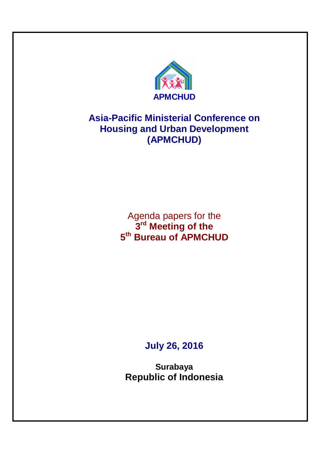

# **Asia-Pacific Ministerial Conference on Housing and Urban Development (APMCHUD)**

Agenda papers for the **3 rd Meeting of the 5 th Bureau of APMCHUD**

# **July 26, 2016**

**Surabaya Republic of Indonesia**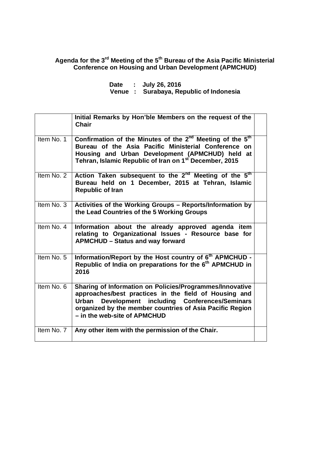# **Agenda for the 3rd Meeting of the 5th Bureau of the Asia Pacific Ministerial Conference on Housing and Urban Development (APMCHUD)**

|  | Date : July 26, 2016                    |
|--|-----------------------------------------|
|  | Venue : Surabaya, Republic of Indonesia |

|            | Initial Remarks by Hon'ble Members on the request of the<br><b>Chair</b>                                                                                                                                                                                             |  |
|------------|----------------------------------------------------------------------------------------------------------------------------------------------------------------------------------------------------------------------------------------------------------------------|--|
| Item No. 1 | Confirmation of the Minutes of the 2 <sup>nd</sup> Meeting of the 5 <sup>th</sup><br>Bureau of the Asia Pacific Ministerial Conference on<br>Housing and Urban Development (APMCHUD) held at<br>Tehran, Islamic Republic of Iran on 1 <sup>st</sup> December, 2015   |  |
| Item No. 2 | Action Taken subsequent to the 2 <sup>nd</sup> Meeting of the 5 <sup>th</sup><br>Bureau held on 1 December, 2015 at Tehran, Islamic<br><b>Republic of Iran</b>                                                                                                       |  |
| Item No. 3 | Activities of the Working Groups - Reports/Information by<br>the Lead Countries of the 5 Working Groups                                                                                                                                                              |  |
| Item No. 4 | Information about the already approved agenda item<br>relating to Organizational Issues - Resource base for<br><b>APMCHUD - Status and way forward</b>                                                                                                               |  |
| Item No. 5 | Information/Report by the Host country of 6 <sup>th</sup> APMCHUD -<br>Republic of India on preparations for the 6 <sup>th</sup> APMCHUD in<br>2016                                                                                                                  |  |
| Item No. 6 | Sharing of Information on Policies/Programmes/Innovative<br>approaches/best practices in the field of Housing and<br>Development including Conferences/Seminars<br>Urban<br>organized by the member countries of Asia Pacific Region<br>- in the web-site of APMCHUD |  |
| Item No. 7 | Any other item with the permission of the Chair.                                                                                                                                                                                                                     |  |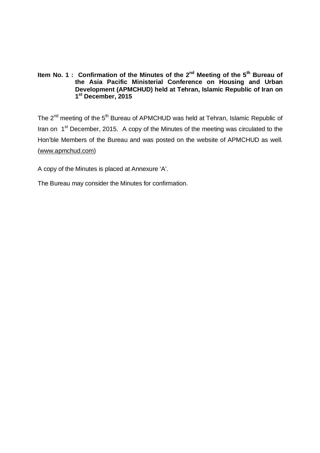# **Item No. 1 : Confirmation of the Minutes of the 2nd Meeting of the 5th Bureau of the Asia Pacific Ministerial Conference on Housing and Urban Development (APMCHUD) held at Tehran, Islamic Republic of Iran on 1 st December, 2015**

The  $2<sup>nd</sup>$  meeting of the  $5<sup>th</sup>$  Bureau of APMCHUD was held at Tehran, Islamic Republic of Iran on 1<sup>st</sup> December, 2015. A copy of the Minutes of the meeting was circulated to the Hon'ble Members of the Bureau and was posted on the website of APMCHUD as well. (www.apmchud.com)

A copy of the Minutes is placed at Annexure 'A'.

The Bureau may consider the Minutes for confirmation.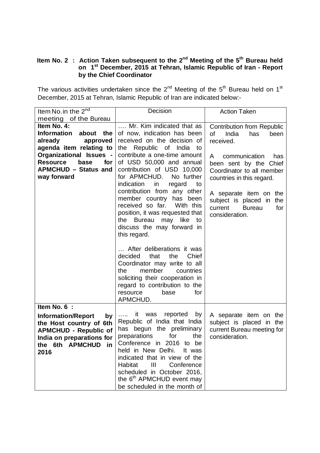# **Item No. 2 : Action Taken subsequent to the 2nd Meeting of the 5th Bureau held on 1st December, 2015 at Tehran, Islamic Republic of Iran - Report by the Chief Coordinator**

The various activities undertaken since the  $2^{nd}$  Meeting of the  $5^{th}$  Bureau held on 1<sup>st</sup> December, 2015 at Tehran, Islamic Republic of Iran are indicated below:-

| Item No. in the 2 <sup>nd</sup>                                                                                                                                                                             | Decision                                                                                                                                                                                                                                                                                                                                                                                                                                                                                 | <b>Action Taken</b>                                                                                                                                                                                                                                                                                                |
|-------------------------------------------------------------------------------------------------------------------------------------------------------------------------------------------------------------|------------------------------------------------------------------------------------------------------------------------------------------------------------------------------------------------------------------------------------------------------------------------------------------------------------------------------------------------------------------------------------------------------------------------------------------------------------------------------------------|--------------------------------------------------------------------------------------------------------------------------------------------------------------------------------------------------------------------------------------------------------------------------------------------------------------------|
| meeting of the Bureau                                                                                                                                                                                       |                                                                                                                                                                                                                                                                                                                                                                                                                                                                                          |                                                                                                                                                                                                                                                                                                                    |
| Item No. 4:<br><b>Information</b><br>about the<br>already<br>approved<br>agenda item relating to<br>Organizational Issues -<br><b>Resource</b><br>base<br>for<br><b>APMCHUD - Status and</b><br>way forward | Mr. Kim indicated that as<br>of now, indication has been<br>received on the decision of<br>the Republic of India<br>to<br>contribute a one-time amount<br>of USD 50,000 and annual<br>contribution of USD 10,000<br>for APMCHUD. No further<br>indication<br>in<br>regard<br>to<br>contribution from any other<br>member country has been<br>received so far. With this<br>position, it was requested that<br>the Bureau<br>may like<br>to<br>discuss the may forward in<br>this regard. | <b>Contribution from Republic</b><br><b>of</b><br>India<br>has<br>been<br>received.<br>communication<br>has<br>A<br>been sent by the Chief<br>Coordinator to all member<br>countries in this regard.<br>A separate item on the<br>subject is placed in<br>the<br>current<br><b>Bureau</b><br>for<br>consideration. |
|                                                                                                                                                                                                             | After deliberations it was<br>decided<br>that<br>the<br>Chief<br>Coordinator may write to all<br>member<br>the<br>countries<br>soliciting their cooperation in<br>regard to contribution to the<br>base<br>for<br>resource<br>APMCHUD.                                                                                                                                                                                                                                                   |                                                                                                                                                                                                                                                                                                                    |
| Item No. 6 :<br><b>Information/Report</b><br>by<br>the Host country of 6th<br><b>APMCHUD - Republic of</b><br>India on preparations for<br>the 6th APMCHUD<br>in<br>2016                                    | was<br>reported<br>it.<br>by<br>.<br>Republic of India that India<br>has begun the preliminary<br>preparations<br>for<br>the<br>Conference in 2016 to be<br>held in New Delhi.<br>It was<br>indicated that in view of the<br>Habitat<br>Ш<br>Conference<br>scheduled in October 2016,<br>the 6 <sup>th</sup> APMCHUD event may<br>be scheduled in the month of                                                                                                                           | A separate item on the<br>subject is placed in the<br>current Bureau meeting for<br>consideration.                                                                                                                                                                                                                 |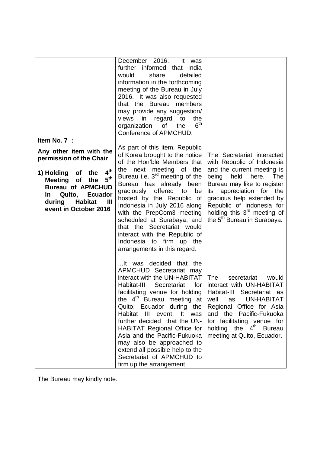|                                                                                                                                                                                                                                                                                         | December 2016.<br>lt.<br>was<br>further informed that India<br>would<br>share<br>detailed<br>information in the forthcoming<br>meeting of the Bureau in July<br>2016. It was also requested<br>that the Bureau<br>members<br>may provide any suggestion/<br>views<br>regard<br>in<br>to<br>the<br>6 <sup>th</sup><br>organization<br>of<br>the<br>Conference of APMCHUD.                                                                                                                   |                                                                                                                                                                                                                                                                                                                                    |
|-----------------------------------------------------------------------------------------------------------------------------------------------------------------------------------------------------------------------------------------------------------------------------------------|--------------------------------------------------------------------------------------------------------------------------------------------------------------------------------------------------------------------------------------------------------------------------------------------------------------------------------------------------------------------------------------------------------------------------------------------------------------------------------------------|------------------------------------------------------------------------------------------------------------------------------------------------------------------------------------------------------------------------------------------------------------------------------------------------------------------------------------|
| Item No. 7 :<br>Any other item with the<br>permission of the Chair<br>4 <sup>th</sup><br>the<br>1) Holding<br><b>of</b><br>5 <sup>th</sup><br>Meeting of<br>the<br><b>Bureau of APMCHUD</b><br><b>Ecuador</b><br>Quito,<br>in<br><b>Habitat</b><br>during<br>Ш<br>event in October 2016 | As part of this item, Republic<br>of Korea brought to the notice<br>of the Hon'ble Members that<br>the next meeting of the<br>Bureau i.e. $3rd$ meeting of the<br>Bureau has already been<br>graciously offered to<br>be<br>hosted by the Republic of<br>Indonesia in July 2016 along<br>with the PrepCom3 meeting<br>scheduled at Surabaya, and<br>that the Secretariat would<br>interact with the Republic of<br>Indonesia to firm up the<br>arrangements in this regard.                | The Secretariat interacted<br>with Republic of Indonesia<br>and the current meeting is<br>here.<br>being<br>held<br>The<br>Bureau may like to register<br>its appreciation for the<br>gracious help extended by<br>Republic of Indonesia for<br>holding this 3 <sup>rd</sup> meeting of<br>the 5 <sup>th</sup> Bureau in Surabaya. |
|                                                                                                                                                                                                                                                                                         | It was decided that the<br>APMCHUD Secretariat may<br>interact with the UN-HABITAT<br>Habitat-III<br>Secretariat<br>for<br>facilitating venue for holding<br>the $4^{\text{m}}$ Bureau meeting at<br>Quito, Ecuador during the<br>Habitat III event. It was<br>further decided that the UN-<br><b>HABITAT Regional Office for</b><br>Asia and the Pacific-Fukuoka<br>may also be approached to<br>extend all possible help to the<br>Secretariat of APMCHUD to<br>firm up the arrangement. | <b>The</b><br>secretariat<br>would<br>interact with UN-HABITAT<br>Habitat-III Secretariat as<br>well<br>UN-HABITAT<br>as<br>Regional Office for Asia<br>and the Pacific-Fukuoka<br>for facilitating venue for<br>holding the 4 <sup>th</sup> Bureau<br>meeting at Quito, Ecuador.                                                  |

The Bureau may kindly note.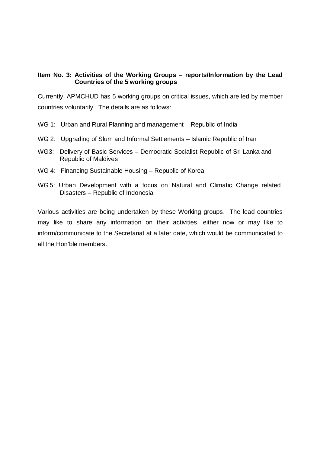# **Item No. 3: Activities of the Working Groups – reports/Information by the Lead Countries of the 5 working groups**

Currently, APMCHUD has 5 working groups on critical issues, which are led by member countries voluntarily. The details are as follows:

- WG 1: Urban and Rural Planning and management Republic of India
- WG 2: Upgrading of Slum and Informal Settlements Islamic Republic of Iran
- WG3: Delivery of Basic Services Democratic Socialist Republic of Sri Lanka and Republic of Maldives
- WG 4: Financing Sustainable Housing Republic of Korea
- WG 5: Urban Development with a focus on Natural and Climatic Change related Disasters – Republic of Indonesia

Various activities are being undertaken by these Working groups. The lead countries may like to share any information on their activities, either now or may like to inform/communicate to the Secretariat at a later date, which would be communicated to all the Hon'ble members.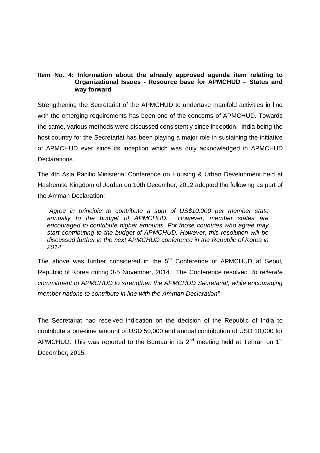# **Item No. 4: Information about the already approved agenda item relating to Organizational Issues - Resource base for APMCHUD – Status and way forward**

Strengthening the Secretariat of the APMCHUD to undertake manifold activities in line with the emerging requirements has been one of the concerns of APMCHUD. Towards the same, various methods were discussed consistently since inception. India being the host country for the Secretariat has been playing a major role in sustaining the initiative of APMCHUD ever since its inception which was duly acknowledged in APMCHUD Declarations.

The 4th Asia Pacific Ministerial Conference on Housing & Urban Development held at Hashemite Kingdom of Jordan on 10th December, 2012 adopted the following as part of the Amman Declaration:

"Agree in principle to contribute a sum of US\$10,000 per member state annually to the budget of APMCHUD. However, member states are encouraged to contribute higher amounts. For those countries who agree may start contributing to the budget of APMCHUD. However, this resolution will be discussed further in the next APMCHUD conference in the Republic of Korea in 2014"

The above was further considered in the  $5<sup>th</sup>$  Conference of APMCHUD at Seoul, Republic of Korea during 3-5 November, 2014. The Conference resolved "to reiterate commitment to APMCHUD to strengthen the APMCHUD Secretariat, while encouraging member nations to contribute in line with the Amman Declaration".

The Secretariat had received indication on the decision of the Republic of India to contribute a one-time amount of USD 50,000 and annual contribution of USD 10,000 for APMCHUD. This was reported to the Bureau in its  $2<sup>nd</sup>$  meeting held at Tehran on 1<sup>st</sup> December, 2015.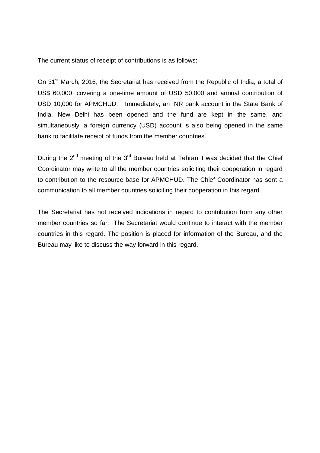The current status of receipt of contributions is as follows:

On 31<sup>st</sup> March, 2016, the Secretariat has received from the Republic of India, a total of US\$ 60,000, covering a one-time amount of USD 50,000 and annual contribution of USD 10,000 for APMCHUD. Immediately, an INR bank account in the State Bank of India, New Delhi has been opened and the fund are kept in the same, and simultaneously, a foreign currency (USD) account is also being opened in the same bank to facilitate receipt of funds from the member countries.

During the  $2^{nd}$  meeting of the  $3^{rd}$  Bureau held at Tehran it was decided that the Chief Coordinator may write to all the member countries soliciting their cooperation in regard to contribution to the resource base for APMCHUD. The Chief Coordinator has sent a communication to all member countries soliciting their cooperation in this regard.

The Secretariat has not received indications in regard to contribution from any other member countries so far. The Secretariat would continue to interact with the member countries in this regard. The position is placed for information of the Bureau, and the Bureau may like to discuss the way forward in this regard.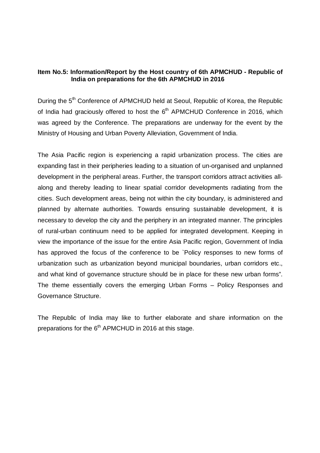# **Item No.5: Information/Report by the Host country of 6th APMCHUD - Republic of India on preparations for the 6th APMCHUD in 2016**

During the 5<sup>th</sup> Conference of APMCHUD held at Seoul, Republic of Korea, the Republic of India had graciously offered to host the 6<sup>th</sup> APMCHUD Conference in 2016, which was agreed by the Conference. The preparations are underway for the event by the Ministry of Housing and Urban Poverty Alleviation, Government of India.

The Asia Pacific region is experiencing a rapid urbanization process. The cities are expanding fast in their peripheries leading to a situation of un-organised and unplanned development in the peripheral areas. Further, the transport corridors attract activities allalong and thereby leading to linear spatial corridor developments radiating from the cities. Such development areas, being not within the city boundary, is administered and planned by alternate authorities. Towards ensuring sustainable development, it is necessary to develop the city and the periphery in an integrated manner. The principles of rural-urban continuum need to be applied for integrated development. Keeping in view the importance of the issue for the entire Asia Pacific region, Government of India has approved the focus of the conference to be `Policy responses to new forms of urbanization such as urbanization beyond municipal boundaries, urban corridors etc., and what kind of governance structure should be in place for these new urban forms". The theme essentially covers the emerging Urban Forms – Policy Responses and Governance Structure.

The Republic of India may like to further elaborate and share information on the preparations for the 6<sup>th</sup> APMCHUD in 2016 at this stage.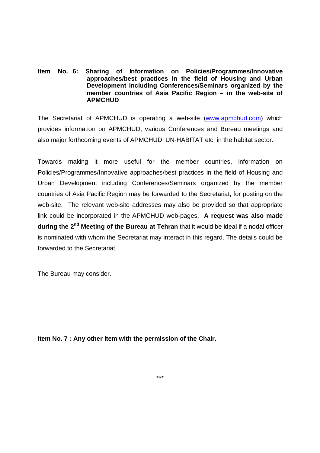## **Item No. 6: Sharing of Information on Policies/Programmes/Innovative approaches/best practices in the field of Housing and Urban Development including Conferences/Seminars organized by the member countries of Asia Pacific Region – in the web-site of APMCHUD**

The Secretariat of APMCHUD is operating a web-site (www.apmchud.com) which provides information on APMCHUD, various Conferences and Bureau meetings and also major forthcoming events of APMCHUD, UN-HABITAT etc in the habitat sector.

Towards making it more useful for the member countries, information on Policies/Programmes/Innovative approaches/best practices in the field of Housing and Urban Development including Conferences/Seminars organized by the member countries of Asia Pacific Region may be forwarded to the Secretariat, for posting on the web-site. The relevant web-site addresses may also be provided so that appropriate link could be incorporated in the APMCHUD web-pages. **A request was also made during the 2nd Meeting of the Bureau at Tehran** that it would be ideal if a nodal officer is nominated with whom the Secretariat may interact in this regard. The details could be forwarded to the Secretariat.

The Bureau may consider.

**Item No. 7 : Any other item with the permission of the Chair.**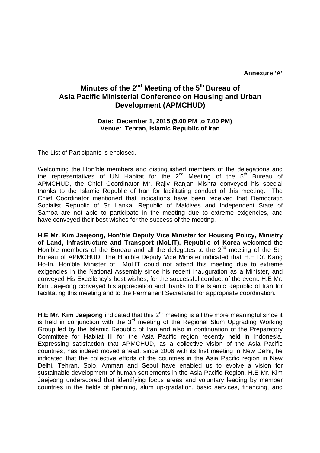**Annexure 'A'**

# **Minutes of the 2nd Meeting of the 5th Bureau of Asia Pacific Ministerial Conference on Housing and Urban Development (APMCHUD)**

## **Date: December 1, 2015 (5.00 PM to 7.00 PM) Venue: Tehran, Islamic Republic of Iran**

The List of Participants is enclosed.

Welcoming the Hon'ble members and distinguished members of the delegations and the representatives of UN Habitat for the  $2^{nd}$  Meeting of the  $5^{th}$  Bureau of APMCHUD, the Chief Coordinator Mr. Rajiv Ranjan Mishra conveyed his special thanks to the Islamic Republic of Iran for facilitating conduct of this meeting. The Chief Coordinator mentioned that indications have been received that Democratic Socialist Republic of Sri Lanka, Republic of Maldives and Independent State of Samoa are not able to participate in the meeting due to extreme exigencies, and have conveyed their best wishes for the success of the meeting.

**H.E Mr. Kim Jaejeong, Hon'ble Deputy Vice Minister for Housing Policy, Ministry of Land, Infrastructure and Transport (MoLIT), Republic of Korea** welcomed the Hon'ble members of the Bureau and all the delegates to the  $2<sup>nd</sup>$  meeting of the 5th Bureau of APMCHUD. The Hon'ble Deputy Vice Minister indicated that H.E Dr. Kang Ho-In, Hon'ble Minister of MoLIT could not attend this meeting due to extreme exigencies in the National Assembly since his recent inauguration as a Minister, and conveyed His Excellency's best wishes, for the successful conduct of the event. H.E Mr. Kim Jaejeong conveyed his appreciation and thanks to the Islamic Republic of Iran for facilitating this meeting and to the Permanent Secretariat for appropriate coordination.

**H.E Mr. Kim Jaejeong** indicated that this 2<sup>nd</sup> meeting is all the more meaningful since it is held in conjunction with the  $3<sup>rd</sup>$  meeting of the Regional Slum Upgrading Working Group led by the Islamic Republic of Iran and also in continuation of the Preparatory Committee for Habitat III for the Asia Pacific region recently held in Indonesia. Expressing satisfaction that APMCHUD, as a collective vision of the Asia Pacific countries, has indeed moved ahead, since 2006 with its first meeting in New Delhi, he indicated that the collective efforts of the countries in the Asia Pacific region in New Delhi, Tehran, Solo, Amman and Seoul have enabled us to evolve a vision for sustainable development of human settlements in the Asia Pacific Region. H.E Mr. Kim Jaejeong underscored that identifying focus areas and voluntary leading by member countries in the fields of planning, slum up-gradation, basic services, financing, and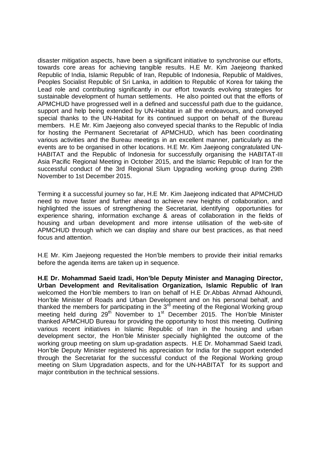disaster mitigation aspects, have been a significant initiative to synchronise our efforts, towards core areas for achieving tangible results. H.E Mr. Kim Jaejeong thanked Republic of India, Islamic Republic of Iran, Republic of Indonesia, Republic of Maldives, Peoples Socialist Republic of Sri Lanka, in addition to Republic of Korea for taking the Lead role and contributing significantly in our effort towards evolving strategies for sustainable development of human settlements. He also pointed out that the efforts of APMCHUD have progressed well in a defined and successful path due to the guidance, support and help being extended by UN-Habitat in all the endeavours, and conveyed special thanks to the UN-Habitat for its continued support on behalf of the Bureau members. H.E Mr. Kim Jaejeong also conveyed special thanks to the Republic of India for hosting the Permanent Secretariat of APMCHUD, which has been coordinating various activities and the Bureau meetings in an excellent manner, particularly as the events are to be organised in other locations. H.E Mr. Kim Jaejeong congratulated UN-HABITAT and the Republic of Indonesia for successfully organising the HABITAT-III Asia Pacific Regional Meeting in October 2015, and the Islamic Republic of Iran for the successful conduct of the 3rd Regional Slum Upgrading working group during 29th November to 1st December 2015.

Terming it a successful journey so far, H.E Mr. Kim Jaejeong indicated that APMCHUD need to move faster and further ahead to achieve new heights of collaboration, and highlighted the issues of strengthening the Secretariat, identifying opportunities for experience sharing, information exchange & areas of collaboration in the fields of housing and urban development and more intense utilisation of the web-site of APMCHUD through which we can display and share our best practices, as that need focus and attention.

H.E Mr. Kim Jaejeong requested the Hon'ble members to provide their initial remarks before the agenda items are taken up in sequence.

**H.E Dr. Mohammad Saeid Izadi, Hon'ble Deputy Minister and Managing Director, Urban Development and Revitalisation Organization, Islamic Republic of Iran**  welcomed the Hon'ble members to Iran on behalf of H.E Dr.Abbas Ahmad Akhoundi, Hon'ble Minister of Roads and Urban Development and on his personal behalf, and thanked the members for participating in the  $3<sup>rd</sup>$  meeting of the Regional Working group meeting held during  $29<sup>th</sup>$  November to 1<sup>st</sup> December 2015. The Hon'ble Minister thanked APMCHUD Bureau for providing the opportunity to host this meeting. Outlining various recent initiatives in Islamic Republic of Iran in the housing and urban development sector, the Hon'ble Minister specially highlighted the outcome of the working group meeting on slum up-gradation aspects. H.E Dr. Mohammad Saeid Izadi, Hon'ble Deputy Minister registered his appreciation for India for the support extended through the Secretariat for the successful conduct of the Regional Working group meeting on Slum Upgradation aspects, and for the UN-HABITAT for its support and major contribution in the technical sessions.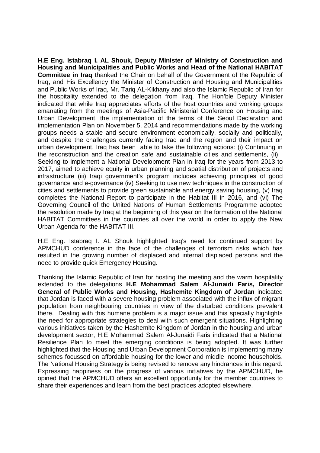**H.E Eng. Istabraq I. AL Shouk, Deputy Minister of Ministry of Construction and Housing and Municipalities and Public Works and Head of the National HABITAT Committee in Iraq** thanked the Chair on behalf of the Government of the Republic of Iraq, and His Excellency the Minister of Construction and Housing and Municipalities and Public Works of Iraq, Mr. Tariq AL-Kikhany and also the Islamic Republic of Iran for the hospitality extended to the delegation from Iraq. The Hon'ble Deputy Minister indicated that while Iraq appreciates efforts of the host countries and working groups emanating from the meetings of Asia-Pacific Ministerial Conference on Housing and Urban Development, the implementation of the terms of the Seoul Declaration and implementation Plan on November 5, 2014 and recommendations made by the working groups needs a stable and secure environment economically, socially and politically, and despite the challenges currently facing Iraq and the region and their impact on urban development, Iraq has been able to take the following actions: (i) Continuing in the reconstruction and the creation safe and sustainable cities and settlements, (ii) Seeking to implement a National Development Plan in Iraq for the years from 2013 to 2017, aimed to achieve equity in urban planning and spatial distribution of projects and infrastructure (iii) Iraqi government's program includes achieving principles of good governance and e-governance (iv) Seeking to use new techniques in the construction of cities and settlements to provide green sustainable and energy saving housing, (v) Iraq completes the National Report to participate in the Habitat III in 2016, and (vi) The Governing Council of the United Nations of Human Settlements Programme adopted the resolution made by Iraq at the beginning of this year on the formation of the National HABITAT Committees in the countries all over the world in order to apply the New Urban Agenda for the HABITAT III.

H.E Eng. Istabraq I. AL Shouk highlighted Iraq's need for continued support by APMCHUD conference in the face of the challenges of terrorism risks which has resulted in the growing number of displaced and internal displaced persons and the need to provide quick Emergency Housing.

Thanking the Islamic Republic of Iran for hosting the meeting and the warm hospitality extended to the delegations **H.E Mohammad Salem Al-Junaidi Faris, Director General of Public Works and Housing, Hashemite Kingdom of Jordan** indicated that Jordan is faced with a severe housing problem associated with the influx of migrant population from neighbouring countries in view of the disturbed conditions prevalent there. Dealing with this humane problem is a major issue and this specially highlights the need for appropriate strategies to deal with such emergent situations. Highlighting various initiatives taken by the Hashemite Kingdom of Jordan in the housing and urban development sector, H.E Mohammad Salem Al-Junaidi Faris indicated that a National Resilience Plan to meet the emerging conditions is being adopted. It was further highlighted that the Housing and Urban Development Corporation is implementing many schemes focussed on affordable housing for the lower and middle income households. The National Housing Strategy is being revised to remove any hindrances in this regard. Expressing happiness on the progress of various initiatives by the APMCHUD, he opined that the APMCHUD offers an excellent opportunity for the member countries to share their experiences and learn from the best practices adopted elsewhere.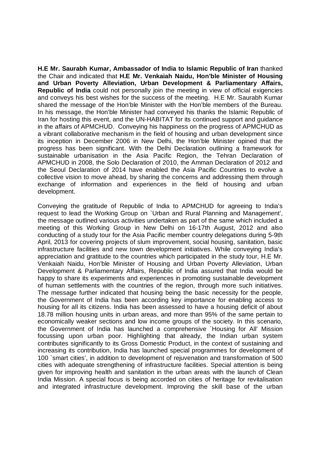**H.E Mr. Saurabh Kumar, Ambassador of India to Islamic Republic of Iran** thanked the Chair and indicated that **H.E Mr. Venkaiah Naidu, Hon'ble Minister of Housing and Urban Poverty Alleviation, Urban Development & Parliamentary Affairs, Republic of India** could not personally join the meeting in view of official exigencies and conveys his best wishes for the success of the meeting. H.E Mr. Saurabh Kumar shared the message of the Hon'ble Minister with the Hon'ble members of the Bureau. In his message, the Hon'ble Minister had conveyed his thanks the Islamic Republic of Iran for hosting this event, and the UN-HABITAT for its continued support and guidance in the affairs of APMCHUD. Conveying his happiness on the progress of APMCHUD as a vibrant collaborative mechanism in the field of housing and urban development since its inception in December 2006 in New Delhi, the Hon'ble Minister opined that the progress has been significant. With the Delhi Declaration outlining a framework for sustainable urbanisation in the Asia Pacific Region, the Tehran Declaration of APMCHUD in 2008, the Solo Declaration of 2010, the Amman Declaration of 2012 and the Seoul Declaration of 2014 have enabled the Asia Pacific Countries to evolve a collective vision to move ahead, by sharing the concerns and addressing them through exchange of information and experiences in the field of housing and urban development.

Conveying the gratitude of Republic of India to APMCHUD for agreeing to India's request to lead the Working Group on `Urban and Rural Planning and Management', the message outlined various activities undertaken as part of the same which included a meeting of this Working Group in New Delhi on 16-17th August, 2012 and also conducting of a study tour for the Asia Pacific member country delegations during 5-9th April, 2013 for covering projects of slum improvement, social housing, sanitation, basic infrastructure facilities and new town development initiatives. While conveying India's appreciation and gratitude to the countries which participated in the study tour, H.E Mr. Venkaiah Naidu, Hon'ble Minister of Housing and Urban Poverty Alleviation, Urban Development & Parliamentary Affairs, Republic of India assured that India would be happy to share its experiments and experiences in promoting sustainable development of human settlements with the countries of the region, through more such initiatives. The message further indicated that housing being the basic necessity for the people, the Government of India has been according key importance for enabling access to housing for all its citizens. India has been assessed to have a housing deficit of about 18.78 million housing units in urban areas, and more than 95% of the same pertain to economically weaker sections and low income groups of the society. In this scenario, the Government of India has launched a comprehensive `Housing for All' Mission focussing upon urban poor. Highlighting that already, the Indian urban system contributes significantly to its Gross Domestic Product, in the context of sustaining and increasing its contribution, India has launched special programmes for development of 100 `smart cities', in addition to development of rejuvenation and transformation of 500 cities with adequate strengthening of infrastructure facilities. Special attention is being given for improving health and sanitation in the urban areas with the launch of Clean India Mission. A special focus is being accorded on cities of heritage for revitalisation and integrated infrastructure development. Improving the skill base of the urban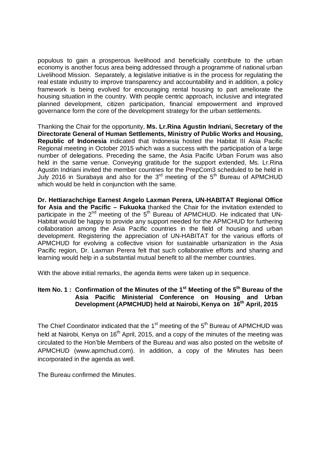populous to gain a prosperous livelihood and beneficially contribute to the urban economy is another focus area being addressed through a programme of national urban Livelihood Mission. Separately, a legislative initiative is in the process for regulating the real estate industry to improve transparency and accountability and in addition, a policy framework is being evolved for encouraging rental housing to part ameliorate the housing situation in the country. With people centric approach, inclusive and integrated planned development, citizen participation, financial empowerment and improved governance form the core of the development strategy for the urban settlements.

Thanking the Chair for the opportunity, **Ms. Lr.Rina Agustin Indriani, Secretary of the Directorate General of Human Settlements, Ministry of Public Works and Housing, Republic of Indonesia** indicated that Indonesia hosted the Habitat III Asia Pacific Regional meeting in October 2015 which was a success with the participation of a large number of delegations. Preceding the same, the Asia Pacific Urban Forum was also held in the same venue. Conveying gratitude for the support extended, Ms. Lr.Rina Agustin Indriani invited the member countries for the PrepCom3 scheduled to be held in July 2016 in Surabaya and also for the  $3<sup>rd</sup>$  meeting of the  $5<sup>th</sup>$  Bureau of APMCHUD which would be held in conjunction with the same.

**Dr. Hettiarachchige Earnest Angelo Laxman Perera, UN-HABITAT Regional Office for Asia and the Pacific – Fukuoka** thanked the Chair for the invitation extended to participate in the  $2^{nd}$  meeting of the  $5^{th}$  Bureau of APMCHUD. He indicated that UN-Habitat would be happy to provide any support needed for the APMCHUD for furthering collaboration among the Asia Pacific countries in the field of housing and urban development. Registering the appreciation of UN-HABITAT for the various efforts of APMCHUD for evolving a collective vision for sustainable urbanization in the Asia Pacific region, Dr. Laxman Perera felt that such collaborative efforts and sharing and learning would help in a substantial mutual benefit to all the member countries.

With the above initial remarks, the agenda items were taken up in sequence.

# **Item No. 1 : Confirmation of the Minutes of the 1st Meeting of the 5th Bureau of the Asia Pacific Ministerial Conference on Housing and Urban Development (APMCHUD) held at Nairobi, Kenya on 16th April, 2015**

The Chief Coordinator indicated that the  $1<sup>st</sup>$  meeting of the  $5<sup>th</sup>$  Bureau of APMCHUD was held at Nairobi, Kenya on 16<sup>th</sup> April, 2015, and a copy of the minutes of the meeting was circulated to the Hon'ble Members of the Bureau and was also posted on the website of APMCHUD (www.apmchud.com). In addition, a copy of the Minutes has been incorporated in the agenda as well.

The Bureau confirmed the Minutes.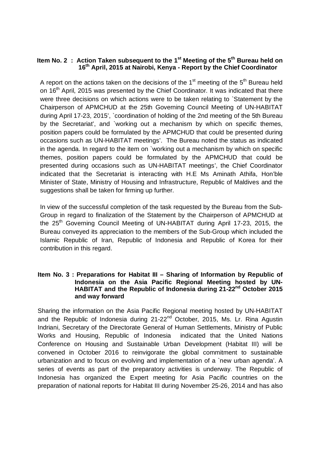# **Item No. 2 : Action Taken subsequent to the 1st Meeting of the 5th Bureau held on 16th April, 2015 at Nairobi, Kenya - Report by the Chief Coordinator**

A report on the actions taken on the decisions of the  $1<sup>st</sup>$  meeting of the  $5<sup>th</sup>$  Bureau held on 16<sup>th</sup> April, 2015 was presented by the Chief Coordinator. It was indicated that there were three decisions on which actions were to be taken relating to `Statement by the Chairperson of APMCHUD at the 25th Governing Council Meeting of UN-HABITAT during April 17-23, 2015', `coordination of holding of the 2nd meeting of the 5th Bureau by the Secretariat', and `working out a mechanism by which on specific themes, position papers could be formulated by the APMCHUD that could be presented during occasions such as UN-HABITAT meetings'. The Bureau noted the status as indicated in the agenda. In regard to the item on `working out a mechanism by which on specific themes, position papers could be formulated by the APMCHUD that could be presented during occasions such as UN-HABITAT meetings', the Chief Coordinator indicated that the Secretariat is interacting with H.E Ms Aminath Athifa, Hon'ble Minister of State, Ministry of Housing and Infrastructure, Republic of Maldives and the suggestions shall be taken for firming up further.

In view of the successful completion of the task requested by the Bureau from the Sub-Group in regard to finalization of the Statement by the Chairperson of APMCHUD at the 25<sup>th</sup> Governing Council Meeting of UN-HABITAT during April 17-23, 2015, the Bureau conveyed its appreciation to the members of the Sub-Group which included the Islamic Republic of Iran, Republic of Indonesia and Republic of Korea for their contribution in this regard.

## **Item No. 3 : Preparations for Habitat III – Sharing of Information by Republic of Indonesia on the Asia Pacific Regional Meeting hosted by UN-HABITAT and the Republic of Indonesia during 21-22nd October 2015 and way forward**

Sharing the information on the Asia Pacific Regional meeting hosted by UN-HABITAT and the Republic of Indonesia during 21-22<sup>nd</sup> October, 2015, Ms. Lr. Rina Agustin Indriani, Secretary of the Directorate General of Human Settlements, Ministry of Public Works and Housing, Republic of Indonesia indicated that the United Nations Conference on Housing and Sustainable Urban Development (Habitat III) will be convened in October 2016 to reinvigorate the global commitment to sustainable urbanization and to focus on evolving and implementation of a `new urban agenda'. A series of events as part of the preparatory activities is underway. The Republic of Indonesia has organized the Expert meeting for Asia Pacific countries on the preparation of national reports for Habitat III during November 25-26, 2014 and has also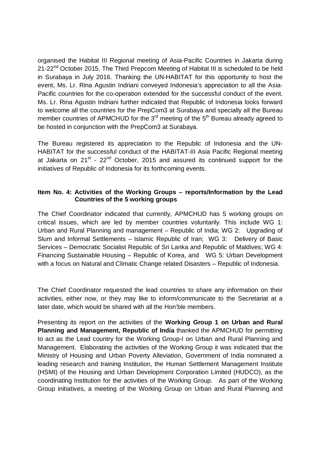organised the Habitat III Regional meeting of Asia-Pacific Countries in Jakarta during 21-22<sup>nd</sup> October 2015. The Third Prepcom Meeting of Habitat III is scheduled to be held in Surabaya in July 2016. Thanking the UN-HABITAT for this opportunity to host the event, Ms. Lr. Rina Agustin Indriani conveyed Indonesia's appreciation to all the Asia-Pacific countries for the co-operation extended for the successful conduct of the event. Ms. Lr. Rina Agustin Indriani further indicated that Republic of Indonesia looks forward to welcome all the countries for the PrepCom3 at Surabaya and specially all the Bureau member countries of APMCHUD for the 3<sup>rd</sup> meeting of the 5<sup>th</sup> Bureau already agreed to be hosted in conjunction with the PrepCom3 at Surabaya.

The Bureau registered its appreciation to the Republic of Indonesia and the UN-HABITAT for the successful conduct of the HABITAT-III Asia Pacific Regional meeting at Jakarta on  $21^{st}$  -  $22^{nd}$  October, 2015 and assured its continued support for the initiatives of Republic of Indonesia for its forthcoming events.

# **Item No. 4: Activities of the Working Groups – reports/Information by the Lead Countries of the 5 working groups**

The Chief Coordinator indicated that currently, APMCHUD has 5 working groups on critical issues, which are led by member countries voluntarily. This include WG 1: Urban and Rural Planning and management – Republic of India; WG 2: Upgrading of Slum and Informal Settlements – Islamic Republic of Iran; WG 3: Delivery of Basic Services – Democratic Socialist Republic of Sri Lanka and Republic of Maldives; WG 4: Financing Sustainable Housing – Republic of Korea, and WG 5: Urban Development with a focus on Natural and Climatic Change related Disasters – Republic of Indonesia.

The Chief Coordinator requested the lead countries to share any information on their activities, either now, or they may like to inform/communicate to the Secretariat at a later date, which would be shared with all the Hon'ble members.

Presenting its report on the activities of the **Working Group 1 on Urban and Rural Planning and Management, Republic of India** thanked the APMCHUD for permitting to act as the Lead country for the Working Group-I on Urban and Rural Planning and Management. Elaborating the activities of the Working Group it was indicated that the Ministry of Housing and Urban Poverty Alleviation, Government of India nominated a leading research and training Institution, the Human Settlement Management Institute (HSMI) of the Housing and Urban Development Corporation Limited (HUDCO), as the coordinating Institution for the activities of the Working Group. As part of the Working Group initiatives, a meeting of the Working Group on Urban and Rural Planning and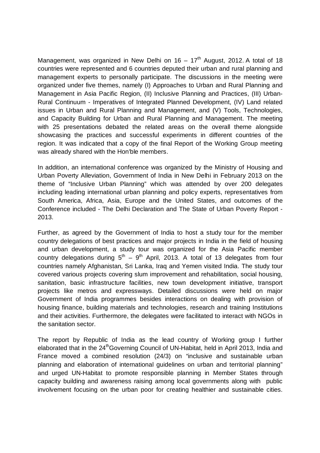Management, was organized in New Delhi on  $16 - 17<sup>th</sup>$  August, 2012. A total of 18 countries were represented and 6 countries deputed their urban and rural planning and management experts to personally participate. The discussions in the meeting were organized under five themes, namely (I) Approaches to Urban and Rural Planning and Management in Asia Pacific Region, (II) Inclusive Planning and Practices, (III) Urban-Rural Continuum - Imperatives of Integrated Planned Development, (IV) Land related issues in Urban and Rural Planning and Management, and (V) Tools, Technologies, and Capacity Building for Urban and Rural Planning and Management. The meeting with 25 presentations debated the related areas on the overall theme alongside showcasing the practices and successful experiments in different countries of the region. It was indicated that a copy of the final Report of the Working Group meeting was already shared with the Hon'ble members.

In addition, an international conference was organized by the Ministry of Housing and Urban Poverty Alleviation, Government of India in New Delhi in February 2013 on the theme of "Inclusive Urban Planning" which was attended by over 200 delegates including leading international urban planning and policy experts, representatives from South America, Africa, Asia, Europe and the United States, and outcomes of the Conference included - The Delhi Declaration and The State of Urban Poverty Report - 2013.

Further, as agreed by the Government of India to host a study tour for the member country delegations of best practices and major projects in India in the field of housing and urban development, a study tour was organized for the Asia Pacific member country delegations during  $5<sup>th</sup> - 9<sup>th</sup>$  April, 2013. A total of 13 delegates from four countries namely Afghanistan, Sri Lanka, Iraq and Yemen visited India. The study tour covered various projects covering slum improvement and rehabilitation, social housing, sanitation, basic infrastructure facilities, new town development initiative, transport projects like metros and expressways. Detailed discussions were held on major Government of India programmes besides interactions on dealing with provision of housing finance, building materials and technologies, research and training Institutions and their activities. Furthermore, the delegates were facilitated to interact with NGOs in the sanitation sector.

The report by Republic of India as the lead country of Working group I further elaborated that in the 24<sup>th</sup>Governing Council of UN-Habitat, held in April 2013, India and France moved a combined resolution (24/3) on "inclusive and sustainable urban planning and elaboration of international guidelines on urban and territorial planning" and urged UN-Habitat to promote responsible planning in Member States through capacity building and awareness raising among local governments along with public involvement focusing on the urban poor for creating healthier and sustainable cities.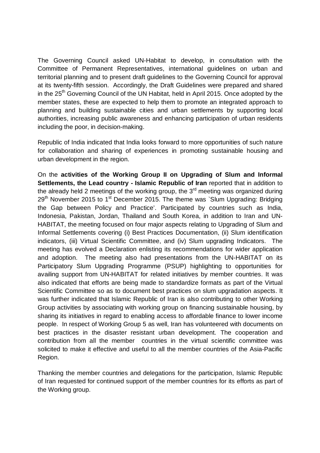The Governing Council asked UN-Habitat to develop, in consultation with the Committee of Permanent Representatives, international guidelines on urban and territorial planning and to present draft guidelines to the Governing Council for approval at its twenty-fifth session. Accordingly, the Draft Guidelines were prepared and shared in the 25<sup>th</sup> Governing Council of the UN Habitat, held in April 2015. Once adopted by the member states, these are expected to help them to promote an integrated approach to planning and building sustainable cities and urban settlements by supporting local authorities, increasing public awareness and enhancing participation of urban residents including the poor, in decision-making.

Republic of India indicated that India looks forward to more opportunities of such nature for collaboration and sharing of experiences in promoting sustainable housing and urban development in the region.

On the **activities of the Working Group II on Upgrading of Slum and Informal Settlements, the Lead country - Islamic Republic of Iran** reported that in addition to the already held 2 meetings of the working group, the  $3<sup>rd</sup>$  meeting was organized during  $29<sup>th</sup>$  November 2015 to 1<sup>st</sup> December 2015. The theme was `Slum Upgrading: Bridging the Gap between Policy and Practice'. Participated by countries such as India, Indonesia, Pakistan, Jordan, Thailand and South Korea, in addition to Iran and UN-HABITAT, the meeting focused on four major aspects relating to Upgrading of Slum and Informal Settlements covering (i) Best Practices Documentation, (ii) Slum identification indicators, (iii) Virtual Scientific Committee, and (iv) Slum upgrading Indicators. The meeting has evolved a Declaration enlisting its recommendations for wider application and adoption. The meeting also had presentations from the UN-HABITAT on its Participatory Slum Upgrading Programme (PSUP) highlighting to opportunities for availing support from UN-HABITAT for related initiatives by member countries. It was also indicated that efforts are being made to standardize formats as part of the Virtual Scientific Committee so as to document best practices on slum upgradation aspects. It was further indicated that Islamic Republic of Iran is also contributing to other Working Group activities by associating with working group on financing sustainable housing, by sharing its initiatives in regard to enabling access to affordable finance to lower income people. In respect of Working Group 5 as well, Iran has volunteered with documents on best practices in the disaster resistant urban development. The cooperation and contribution from all the member countries in the virtual scientific committee was solicited to make it effective and useful to all the member countries of the Asia-Pacific Region.

Thanking the member countries and delegations for the participation, Islamic Republic of Iran requested for continued support of the member countries for its efforts as part of the Working group.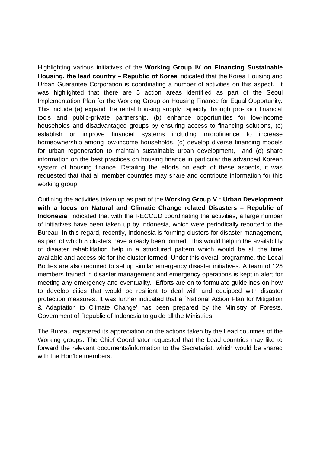Highlighting various initiatives of the **Working Group IV on Financing Sustainable Housing, the lead country – Republic of Korea** indicated that the Korea Housing and Urban Guarantee Corporation is coordinating a number of activities on this aspect. It was highlighted that there are 5 action areas identified as part of the Seoul Implementation Plan for the Working Group on Housing Finance for Equal Opportunity. This include (a) expand the rental housing supply capacity through pro-poor financial tools and public-private partnership, (b) enhance opportunities for low-income households and disadvantaged groups by ensuring access to financing solutions, (c) establish or improve financial systems including microfinance to increase homeownership among low-income households, (d) develop diverse financing models for urban regeneration to maintain sustainable urban development, and (e) share information on the best practices on housing finance in particular the advanced Korean system of housing finance. Detailing the efforts on each of these aspects, it was requested that that all member countries may share and contribute information for this working group.

Outlining the activities taken up as part of the **Working Group V : Urban Development with a focus on Natural and Climatic Change related Disasters – Republic of Indonesia** indicated that with the RECCUD coordinating the activities, a large number of initiatives have been taken up by Indonesia, which were periodically reported to the Bureau. In this regard, recently, Indonesia is forming clusters for disaster management, as part of which 8 clusters have already been formed. This would help in the availability of disaster rehabilitation help in a structured pattern which would be all the time available and accessible for the cluster formed. Under this overall programme, the Local Bodies are also required to set up similar emergency disaster initiatives. A team of 125 members trained in disaster management and emergency operations is kept in alert for meeting any emergency and eventuality. Efforts are on to formulate guidelines on how to develop cities that would be resilient to deal with and equipped with disaster protection measures. It was further indicated that a `National Action Plan for Mitigation & Adaptation to Climate Change' has been prepared by the Ministry of Forests, Government of Republic of Indonesia to guide all the Ministries.

The Bureau registered its appreciation on the actions taken by the Lead countries of the Working groups. The Chief Coordinator requested that the Lead countries may like to forward the relevant documents/information to the Secretariat, which would be shared with the Hon'ble members.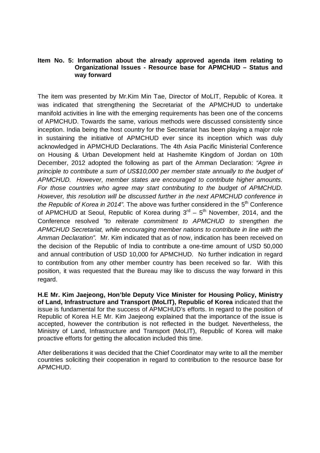## **Item No. 5: Information about the already approved agenda item relating to Organizational Issues - Resource base for APMCHUD – Status and way forward**

The item was presented by Mr.Kim Min Tae, Director of MoLIT, Republic of Korea. It was indicated that strengthening the Secretariat of the APMCHUD to undertake manifold activities in line with the emerging requirements has been one of the concerns of APMCHUD. Towards the same, various methods were discussed consistently since inception. India being the host country for the Secretariat has been playing a major role in sustaining the initiative of APMCHUD ever since its inception which was duly acknowledged in APMCHUD Declarations. The 4th Asia Pacific Ministerial Conference on Housing & Urban Development held at Hashemite Kingdom of Jordan on 10th December, 2012 adopted the following as part of the Amman Declaration: "Agree in principle to contribute a sum of US\$10,000 per member state annually to the budget of APMCHUD. However, member states are encouraged to contribute higher amounts. For those countries who agree may start contributing to the budget of APMCHUD. However, this resolution will be discussed further in the next APMCHUD conference in the Republic of Korea in 2014". The above was further considered in the  $5<sup>th</sup>$  Conference of APMCHUD at Seoul, Republic of Korea during  $3<sup>rd</sup> - 5<sup>th</sup>$  November, 2014, and the Conference resolved "to reiterate commitment to APMCHUD to strengthen the APMCHUD Secretariat, while encouraging member nations to contribute in line with the Amman Declaration". Mr. Kim indicated that as of now, indication has been received on the decision of the Republic of India to contribute a one-time amount of USD 50,000 and annual contribution of USD 10,000 for APMCHUD. No further indication in regard to contribution from any other member country has been received so far. With this position, it was requested that the Bureau may like to discuss the way forward in this regard.

**H.E Mr. Kim Jaejeong, Hon'ble Deputy Vice Minister for Housing Policy, Ministry of Land, Infrastructure and Transport (MoLIT), Republic of Korea** indicated that the issue is fundamental for the success of APMCHUD's efforts. In regard to the position of Republic of Korea H.E Mr. Kim Jaejeong explained that the importance of the issue is accepted, however the contribution is not reflected in the budget. Nevertheless, the Ministry of Land, Infrastructure and Transport (MoLIT), Republic of Korea will make proactive efforts for getting the allocation included this time.

After deliberations it was decided that the Chief Coordinator may write to all the member countries soliciting their cooperation in regard to contribution to the resource base for APMCHUD.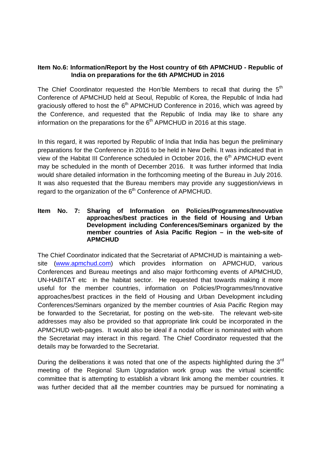# **Item No.6: Information/Report by the Host country of 6th APMCHUD - Republic of India on preparations for the 6th APMCHUD in 2016**

The Chief Coordinator requested the Hon'ble Members to recall that during the  $5<sup>th</sup>$ Conference of APMCHUD held at Seoul, Republic of Korea, the Republic of India had graciously offered to host the  $6<sup>th</sup>$  APMCHUD Conference in 2016, which was agreed by the Conference, and requested that the Republic of India may like to share any information on the preparations for the  $6<sup>th</sup>$  APMCHUD in 2016 at this stage.

In this regard, it was reported by Republic of India that India has begun the preliminary preparations for the Conference in 2016 to be held in New Delhi. It was indicated that in view of the Habitat III Conference scheduled in October 2016, the 6<sup>th</sup> APMCHUD event may be scheduled in the month of December 2016. It was further informed that India would share detailed information in the forthcoming meeting of the Bureau in July 2016. It was also requested that the Bureau members may provide any suggestion/views in regard to the organization of the 6<sup>th</sup> Conference of APMCHUD.

## **Item No. 7: Sharing of Information on Policies/Programmes/Innovative approaches/best practices in the field of Housing and Urban Development including Conferences/Seminars organized by the member countries of Asia Pacific Region – in the web-site of APMCHUD**

The Chief Coordinator indicated that the Secretariat of APMCHUD is maintaining a website (www.apmchud.com) which provides information on APMCHUD, various Conferences and Bureau meetings and also major forthcoming events of APMCHUD, UN-HABITAT etc in the habitat sector. He requested that towards making it more useful for the member countries, information on Policies/Programmes/Innovative approaches/best practices in the field of Housing and Urban Development including Conferences/Seminars organized by the member countries of Asia Pacific Region may be forwarded to the Secretariat, for posting on the web-site. The relevant web-site addresses may also be provided so that appropriate link could be incorporated in the APMCHUD web-pages. It would also be ideal if a nodal officer is nominated with whom the Secretariat may interact in this regard. The Chief Coordinator requested that the details may be forwarded to the Secretariat.

During the deliberations it was noted that one of the aspects highlighted during the 3<sup>rd</sup> meeting of the Regional Slum Upgradation work group was the virtual scientific committee that is attempting to establish a vibrant link among the member countries. It was further decided that all the member countries may be pursued for nominating a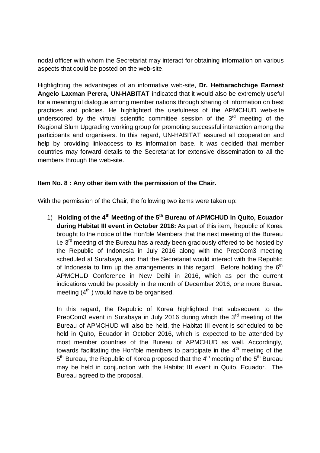nodal officer with whom the Secretariat may interact for obtaining information on various aspects that could be posted on the web-site.

Highlighting the advantages of an informative web-site, **Dr. Hettiarachchige Earnest Angelo Laxman Perera, UN-HABITAT** indicated that it would also be extremely useful for a meaningful dialogue among member nations through sharing of information on best practices and policies. He highlighted the usefulness of the APMCHUD web-site underscored by the virtual scientific committee session of the  $3<sup>rd</sup>$  meeting of the Regional Slum Upgrading working group for promoting successful interaction among the participants and organisers. In this regard, UN-HABITAT assured all cooperation and help by providing link/access to its information base. It was decided that member countries may forward details to the Secretariat for extensive dissemination to all the members through the web-site.

# **Item No. 8 : Any other item with the permission of the Chair.**

With the permission of the Chair, the following two items were taken up:

1) **Holding of the 4th Meeting of the 5th Bureau of APMCHUD in Quito, Ecuador during Habitat III event in October 2016:** As part of this item, Republic of Korea brought to the notice of the Hon'ble Members that the next meeting of the Bureau i.e  $3<sup>rd</sup>$  meeting of the Bureau has already been graciously offered to be hosted by the Republic of Indonesia in July 2016 along with the PrepCom3 meeting scheduled at Surabaya, and that the Secretariat would interact with the Republic of Indonesia to firm up the arrangements in this regard. Before holding the  $6<sup>th</sup>$ APMCHUD Conference in New Delhi in 2016, which as per the current indications would be possibly in the month of December 2016, one more Bureau meeting  $(4^{th})$  would have to be organised.

In this regard, the Republic of Korea highlighted that subsequent to the PrepCom3 event in Surabaya in July 2016 during which the 3<sup>rd</sup> meeting of the Bureau of APMCHUD will also be held, the Habitat III event is scheduled to be held in Quito, Ecuador in October 2016, which is expected to be attended by most member countries of the Bureau of APMCHUD as well. Accordingly, towards facilitating the Hon'ble members to participate in the  $4<sup>th</sup>$  meeting of the 5<sup>th</sup> Bureau, the Republic of Korea proposed that the 4<sup>th</sup> meeting of the 5<sup>th</sup> Bureau may be held in conjunction with the Habitat III event in Quito, Ecuador. The Bureau agreed to the proposal.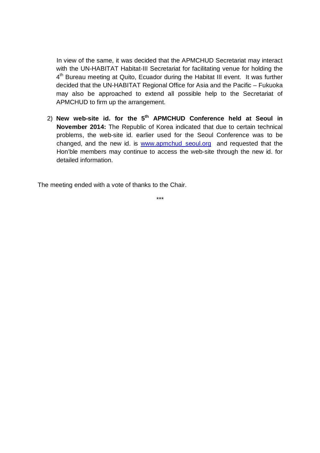In view of the same, it was decided that the APMCHUD Secretariat may interact with the UN-HABITAT Habitat-III Secretariat for facilitating venue for holding the 4<sup>th</sup> Bureau meeting at Quito, Ecuador during the Habitat III event. It was further decided that the UN-HABITAT Regional Office for Asia and the Pacific – Fukuoka may also be approached to extend all possible help to the Secretariat of APMCHUD to firm up the arrangement.

2) **New web-site id. for the 5th APMCHUD Conference held at Seoul in November 2014:** The Republic of Korea indicated that due to certain technical problems, the web-site id. earlier used for the Seoul Conference was to be changed, and the new id. is www.apmchud\_seoul.org and requested that the Hon'ble members may continue to access the web-site through the new id. for detailed information.

The meeting ended with a vote of thanks to the Chair.

\*\*\*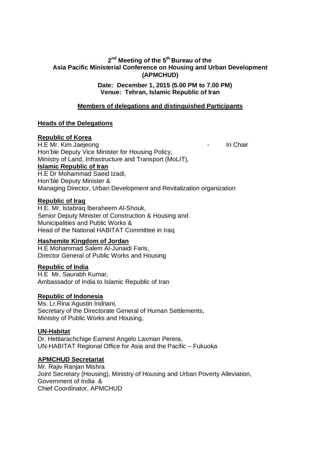# **2 nd Meeting of the 5th Bureau of the Asia Pacific Ministerial Conference on Housing and Urban Development (APMCHUD)**

**Date: December 1, 2015 (5.00 PM to 7.00 PM) Venue: Tehran, Islamic Republic of Iran** 

# **Members of delegations and distinguished Participants**

## **Heads of the Delegations**

## **Republic of Korea**

H.E Mr. Kim Jaejeong **In Chair** Hon'ble Deputy Vice Minister for Housing Policy, Ministry of Land, Infrastructure and Transport (MoLIT), **Islamic Republic of Iran** H.E Dr Mohammad Saeid Izadi, Hon'ble Deputy Minister & Managing Director, Urban Development and Revitalization organization

#### **Republic of Iraq**

H.E. Mr. Istabraq Iberaheem Al-Shouk, Senior Deputy Minister of Construction & Housing and Municipalities and Public Works & Head of the National HABITAT Committee in Iraq

#### **Hashemite Kingdom of Jordan**

H.E Mohammad Salem Al-Junaidi Faris, Director General of Public Works and Housing

## **Republic of India**

H.E Mr. Saurabh Kumar, Ambassador of India to Islamic Republic of Iran

#### **Republic of Indonesia**

Ms. Lr.Rina Agustin Indriani, Secretary of the Directorate General of Human Settlements, Ministry of Public Works and Housing,

#### **UN-Habitat**

Dr. Hettiarachchige Earnest Angelo Laxman Perera, UN-HABITAT Regional Office for Asia and the Pacific – Fukuoka

## **APMCHUD Secretariat**

Mr. Rajiv Ranjan Mishra Joint Secretary (Housing), Ministry of Housing and Urban Poverty Alleviation, Government of India & Chief Coordinator, APMCHUD